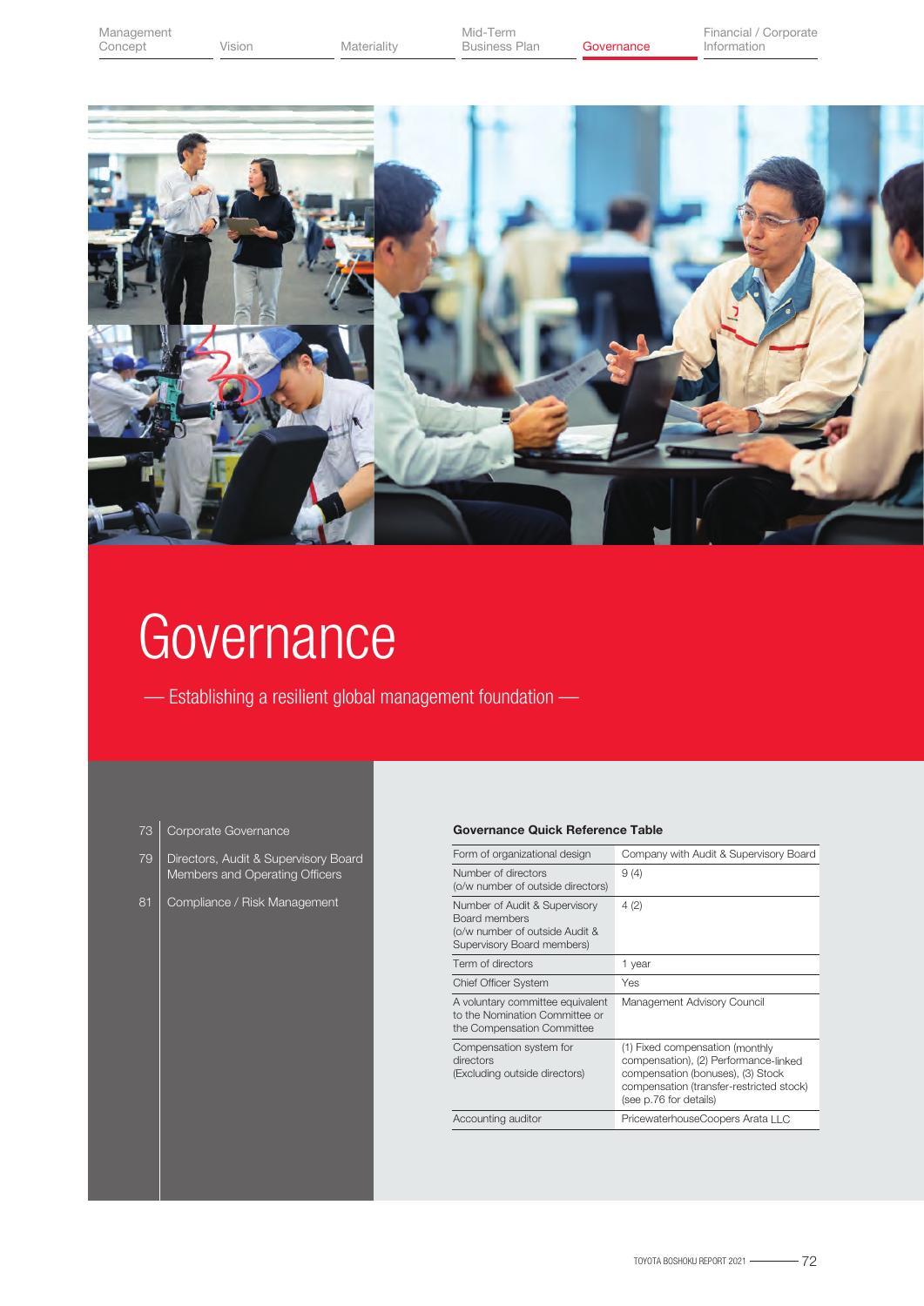

# **Governance**

— Establishing a resilient global management foundation —

- Corporate Governance 73
- Directors, Audit & Supervisory Board Members and Operating Officers 79
- Compliance / Risk Management

# Governance Quick Reference Table

| Form of organizational design                                                                                  | Company with Audit & Supervisory Board                                                                                                                                              |
|----------------------------------------------------------------------------------------------------------------|-------------------------------------------------------------------------------------------------------------------------------------------------------------------------------------|
| Number of directors<br>(o/w number of outside directors)                                                       | 9(4)                                                                                                                                                                                |
| Number of Audit & Supervisory<br>Board members<br>(o/w number of outside Audit &<br>Supervisory Board members) | 4(2)                                                                                                                                                                                |
| Term of directors                                                                                              | 1 year                                                                                                                                                                              |
| <b>Chief Officer System</b>                                                                                    | Yes                                                                                                                                                                                 |
| A voluntary committee equivalent<br>to the Nomination Committee or<br>the Compensation Committee               | Management Advisory Council                                                                                                                                                         |
| Compensation system for<br>directors<br>(Excluding outside directors)                                          | (1) Fixed compensation (monthly<br>compensation), (2) Performance-linked<br>compensation (bonuses), (3) Stock<br>compensation (transfer-restricted stock)<br>(see p.76 for details) |
| Accounting auditor                                                                                             | PricewaterhouseCoopers Arata LLC                                                                                                                                                    |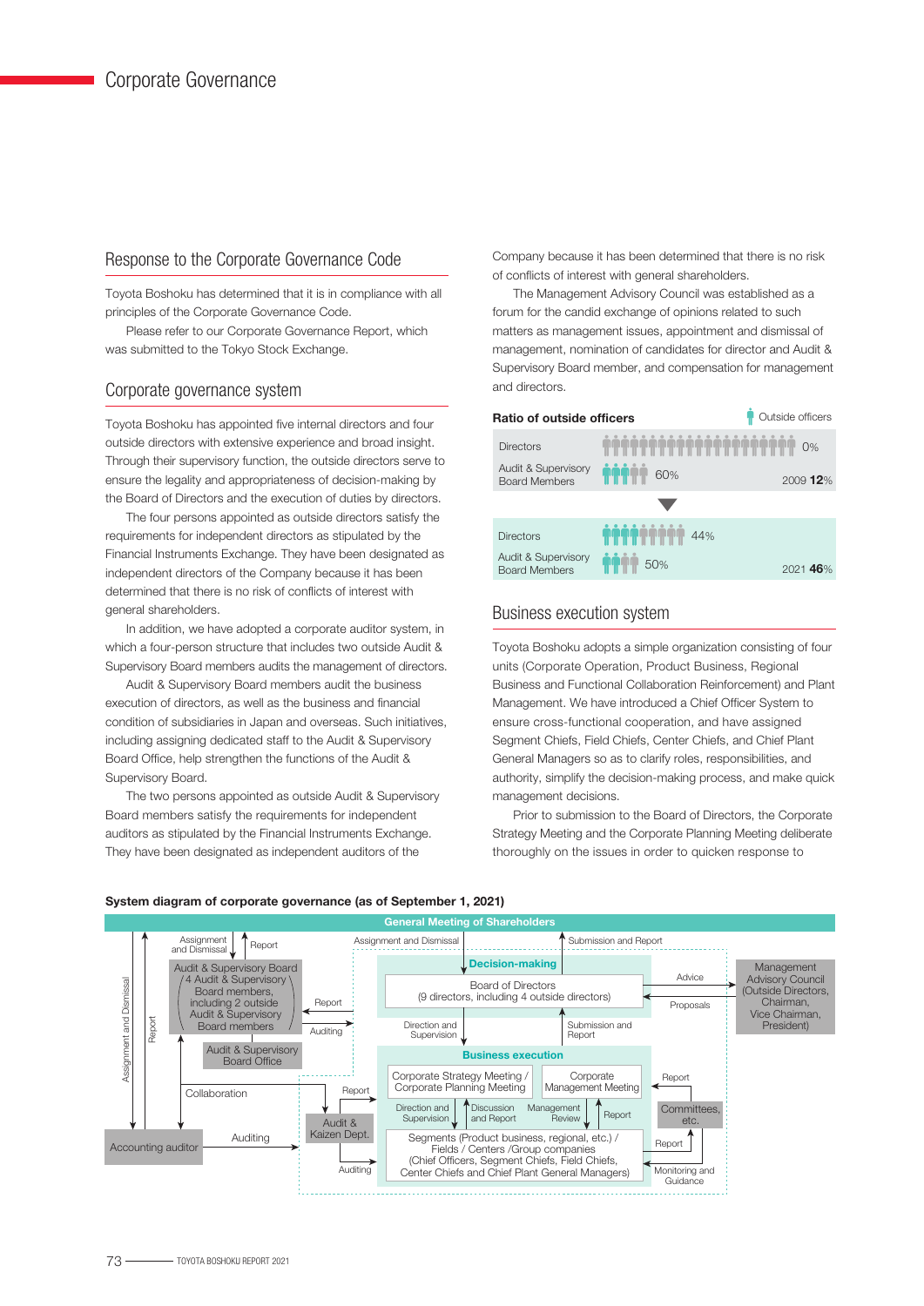# Response to the Corporate Governance Code

Toyota Boshoku has determined that it is in compliance with all principles of the Corporate Governance Code.

 Please refer to our Corporate Governance Report, which was submitted to the Tokyo Stock Exchange.

# Corporate governance system

Toyota Boshoku has appointed five internal directors and four outside directors with extensive experience and broad insight. Through their supervisory function, the outside directors serve to ensure the legality and appropriateness of decision-making by the Board of Directors and the execution of duties by directors.

 The four persons appointed as outside directors satisfy the requirements for independent directors as stipulated by the Financial Instruments Exchange. They have been designated as independent directors of the Company because it has been determined that there is no risk of conflicts of interest with general shareholders.

 In addition, we have adopted a corporate auditor system, in which a four-person structure that includes two outside Audit & Supervisory Board members audits the management of directors.

 Audit & Supervisory Board members audit the business execution of directors, as well as the business and financial condition of subsidiaries in Japan and overseas. Such initiatives, including assigning dedicated staff to the Audit & Supervisory Board Office, help strengthen the functions of the Audit & Supervisory Board.

 The two persons appointed as outside Audit & Supervisory Board members satisfy the requirements for independent auditors as stipulated by the Financial Instruments Exchange. They have been designated as independent auditors of the

Company because it has been determined that there is no risk of conflicts of interest with general shareholders.

 The Management Advisory Council was established as a forum for the candid exchange of opinions related to such matters as management issues, appointment and dismissal of management, nomination of candidates for director and Audit & Supervisory Board member, and compensation for management and directors.



# Business execution system

Toyota Boshoku adopts a simple organization consisting of four units (Corporate Operation, Product Business, Regional Business and Functional Collaboration Reinforcement) and Plant Management. We have introduced a Chief Officer System to ensure cross-functional cooperation, and have assigned Segment Chiefs, Field Chiefs, Center Chiefs, and Chief Plant General Managers so as to clarify roles, responsibilities, and authority, simplify the decision-making process, and make quick management decisions.

 Prior to submission to the Board of Directors, the Corporate Strategy Meeting and the Corporate Planning Meeting deliberate thoroughly on the issues in order to quicken response to



#### System diagram of corporate governance (as of September 1, 2021)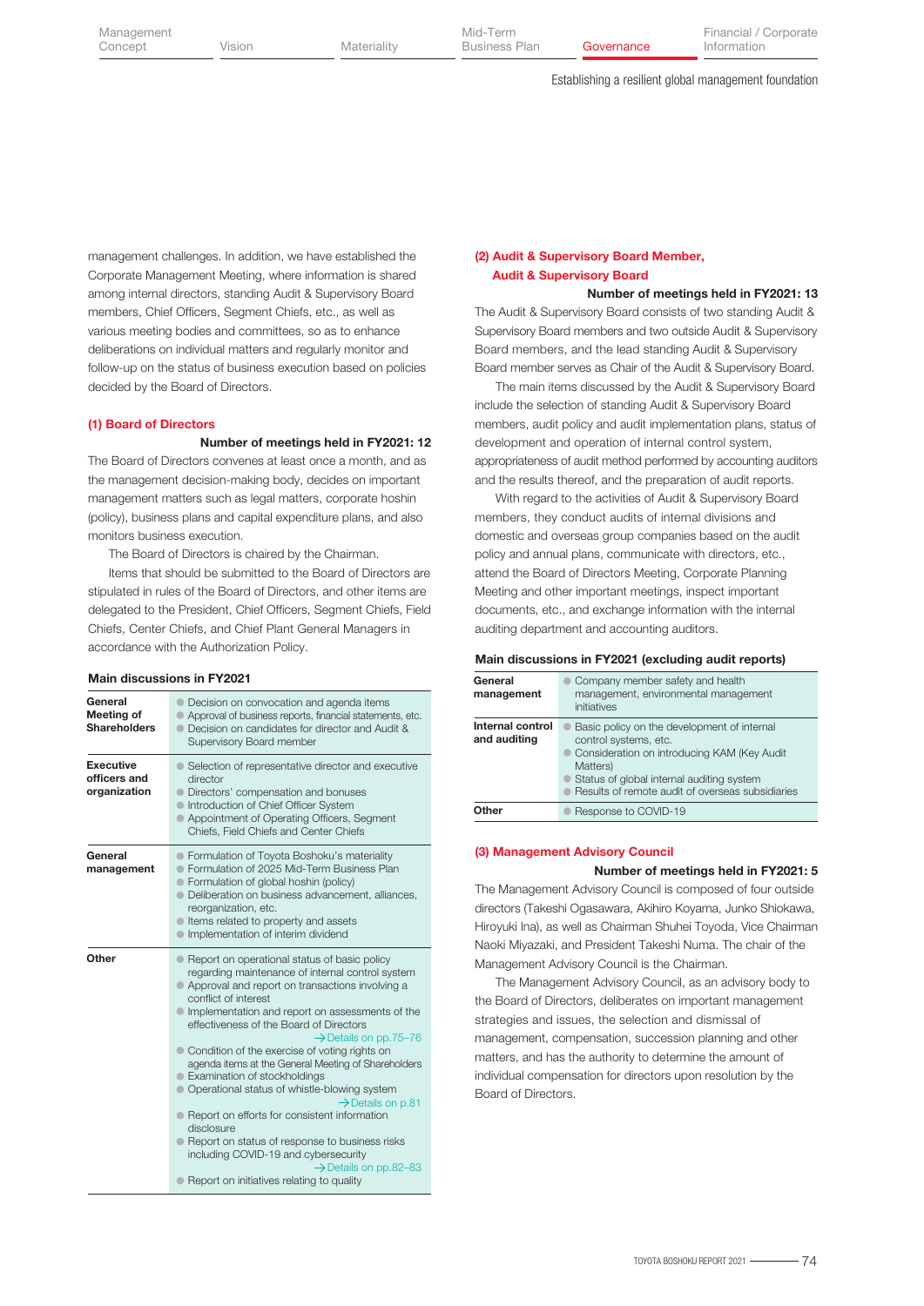Establishing a resilient global management foundation

management challenges. In addition, we have established the Corporate Management Meeting, where information is shared among internal directors, standing Audit & Supervisory Board members, Chief Officers, Segment Chiefs, etc., as well as various meeting bodies and committees, so as to enhance deliberations on individual matters and regularly monitor and follow-up on the status of business execution based on policies decided by the Board of Directors.

#### (1) Board of Directors

Number of meetings held in FY2021: 12

The Board of Directors convenes at least once a month, and as the management decision-making body, decides on important management matters such as legal matters, corporate hoshin (policy), business plans and capital expenditure plans, and also monitors business execution.

The Board of Directors is chaired by the Chairman.

 Items that should be submitted to the Board of Directors are stipulated in rules of the Board of Directors, and other items are delegated to the President, Chief Officers, Segment Chiefs, Field Chiefs, Center Chiefs, and Chief Plant General Managers in accordance with the Authorization Policy.

#### Main discussions in FY2021

| General<br>Meeting of<br><b>Shareholders</b>     | • Decision on convocation and agenda items<br>Approval of business reports, financial statements, etc.<br>• Decision on candidates for director and Audit &<br>Supervisory Board member                                                                                                                                                                                                                                                                                                                                                                                                                                                                                                                                                                                                         |
|--------------------------------------------------|-------------------------------------------------------------------------------------------------------------------------------------------------------------------------------------------------------------------------------------------------------------------------------------------------------------------------------------------------------------------------------------------------------------------------------------------------------------------------------------------------------------------------------------------------------------------------------------------------------------------------------------------------------------------------------------------------------------------------------------------------------------------------------------------------|
| <b>Executive</b><br>officers and<br>organization | • Selection of representative director and executive<br>director<br>• Directors' compensation and bonuses<br>Introduction of Chief Officer System<br>• Appointment of Operating Officers, Segment<br>Chiefs, Field Chiefs and Center Chiefs                                                                                                                                                                                                                                                                                                                                                                                                                                                                                                                                                     |
| General<br>management                            | • Formulation of Toyota Boshoku's materiality<br>● Formulation of 2025 Mid-Term Business Plan<br>• Formulation of global hoshin (policy)<br>· Deliberation on business advancement, alliances,<br>reorganization, etc.<br>ltems related to property and assets<br>Implementation of interim dividend                                                                                                                                                                                                                                                                                                                                                                                                                                                                                            |
| Other                                            | • Report on operational status of basic policy<br>regarding maintenance of internal control system<br>• Approval and report on transactions involving a<br>conflict of interest<br>• Implementation and report on assessments of the<br>effectiveness of the Board of Directors<br>$\rightarrow$ Details on pp.75-76<br>Condition of the exercise of voting rights on<br>agenda items at the General Meeting of Shareholders<br>Examination of stockholdings<br>• Operational status of whistle-blowing system<br>$\rightarrow$ Details on p.81<br>• Report on efforts for consistent information<br>disclosure<br>● Report on status of response to business risks<br>including COVID-19 and cybersecurity<br>$\rightarrow$ Details on pp.82-83<br>● Report on initiatives relating to quality |

# (2) Audit & Supervisory Board Member, Audit & Supervisory Board

# The Audit & Supervisory Board consists of two standing Audit & Supervisory Board members and two outside Audit & Supervisory Board members, and the lead standing Audit & Supervisory Board member serves as Chair of the Audit & Supervisory Board. Number of meetings held in FY2021: 13

 The main items discussed by the Audit & Supervisory Board include the selection of standing Audit & Supervisory Board members, audit policy and audit implementation plans, status of development and operation of internal control system, appropriateness of audit method performed by accounting auditors and the results thereof, and the preparation of audit reports.

 With regard to the activities of Audit & Supervisory Board members, they conduct audits of internal divisions and domestic and overseas group companies based on the audit policy and annual plans, communicate with directors, etc., attend the Board of Directors Meeting, Corporate Planning Meeting and other important meetings, inspect important documents, etc., and exchange information with the internal auditing department and accounting auditors.

#### Main discussions in FY2021 (excluding audit reports)

| General<br>management            | Company member safety and health<br>management, environmental management<br>initiatives                                                                                                                                          |
|----------------------------------|----------------------------------------------------------------------------------------------------------------------------------------------------------------------------------------------------------------------------------|
| Internal control<br>and auditing | Basic policy on the development of internal<br>control systems, etc.<br>Consideration on introducing KAM (Key Audit<br>Matters)<br>Status of global internal auditing system<br>Results of remote audit of overseas subsidiaries |
| <b>Other</b>                     | Response to COVID-19                                                                                                                                                                                                             |

#### (3) Management Advisory Council

#### Number of meetings held in FY2021: 5

The Management Advisory Council is composed of four outside directors (Takeshi Ogasawara, Akihiro Koyama, Junko Shiokawa, Hiroyuki Ina), as well as Chairman Shuhei Toyoda, Vice Chairman Naoki Miyazaki, and President Takeshi Numa. The chair of the Management Advisory Council is the Chairman.

 The Management Advisory Council, as an advisory body to the Board of Directors, deliberates on important management strategies and issues, the selection and dismissal of management, compensation, succession planning and other matters, and has the authority to determine the amount of individual compensation for directors upon resolution by the Board of Directors.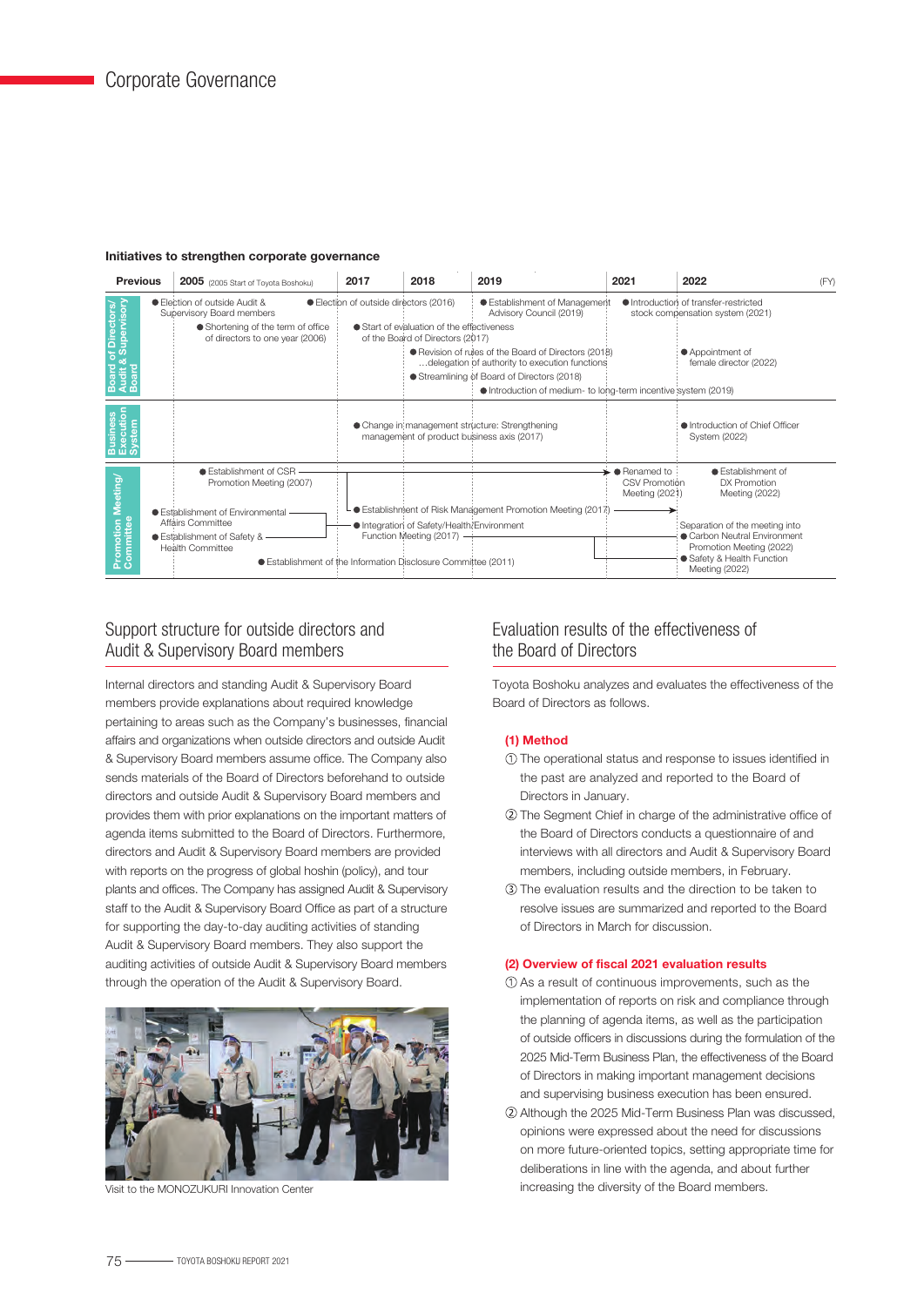#### Initiatives to strengthen corporate governance



# Support structure for outside directors and Audit & Supervisory Board members

Internal directors and standing Audit & Supervisory Board members provide explanations about required knowledge pertaining to areas such as the Company's businesses, financial affairs and organizations when outside directors and outside Audit & Supervisory Board members assume office. The Company also sends materials of the Board of Directors beforehand to outside directors and outside Audit & Supervisory Board members and provides them with prior explanations on the important matters of agenda items submitted to the Board of Directors. Furthermore, directors and Audit & Supervisory Board members are provided with reports on the progress of global hoshin (policy), and tour plants and offices. The Company has assigned Audit & Supervisory staff to the Audit & Supervisory Board Office as part of a structure for supporting the day-to-day auditing activities of standing Audit & Supervisory Board members. They also support the auditing activities of outside Audit & Supervisory Board members through the operation of the Audit & Supervisory Board.



Visit to the MONOZUKURI Innovation Center

# Evaluation results of the effectiveness of the Board of Directors

Toyota Boshoku analyzes and evaluates the effectiveness of the Board of Directors as follows.

# (1) Method

- The operational status and response to issues identified in the past are analyzed and reported to the Board of Directors in January.
- The Segment Chief in charge of the administrative office of the Board of Directors conducts a questionnaire of and interviews with all directors and Audit & Supervisory Board members, including outside members, in February.
- The evaluation results and the direction to be taken to resolve issues are summarized and reported to the Board of Directors in March for discussion.

#### (2) Overview of fiscal 2021 evaluation results

- As a result of continuous improvements, such as the implementation of reports on risk and compliance through the planning of agenda items, as well as the participation of outside officers in discussions during the formulation of the 2025 Mid-Term Business Plan, the effectiveness of the Board of Directors in making important management decisions and supervising business execution has been ensured.
- Although the 2025 Mid-Term Business Plan was discussed, opinions were expressed about the need for discussions on more future-oriented topics, setting appropriate time for deliberations in line with the agenda, and about further increasing the diversity of the Board members.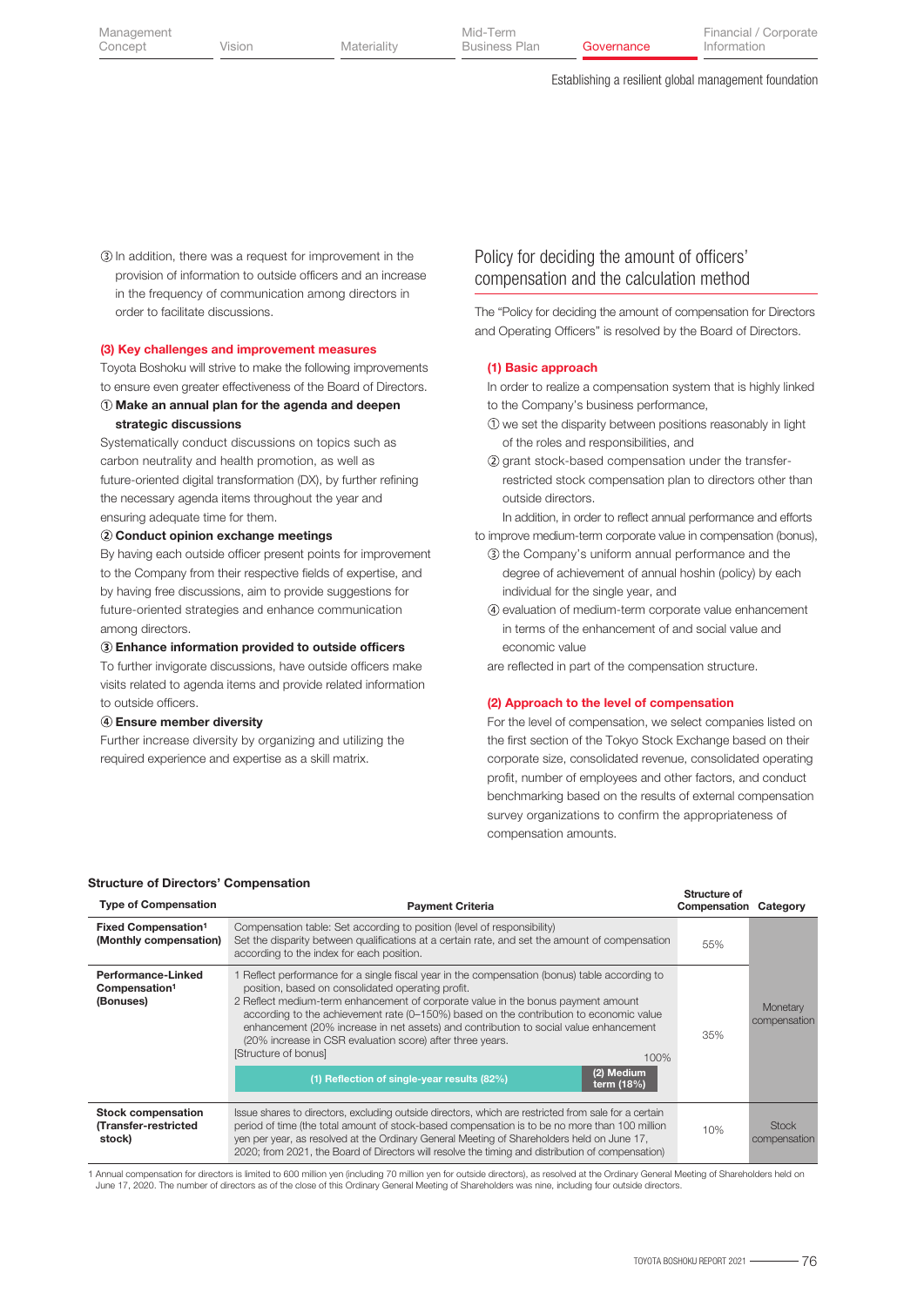In addition, there was a request for improvement in the provision of information to outside officers and an increase in the frequency of communication among directors in order to facilitate discussions.

#### (3) Key challenges and improvement measures

Toyota Boshoku will strive to make the following improvements to ensure even greater effectiveness of the Board of Directors.

# Make an annual plan for the agenda and deepen strategic discussions

Systematically conduct discussions on topics such as carbon neutrality and health promotion, as well as future-oriented digital transformation (DX), by further refining the necessary agenda items throughout the year and ensuring adequate time for them.

#### Conduct opinion exchange meetings

By having each outside officer present points for improvement to the Company from their respective fields of expertise, and by having free discussions, aim to provide suggestions for future-oriented strategies and enhance communication among directors.

#### Enhance information provided to outside officers

To further invigorate discussions, have outside officers make visits related to agenda items and provide related information to outside officers.

#### Ensure member diversity

Further increase diversity by organizing and utilizing the required experience and expertise as a skill matrix.

# Policy for deciding the amount of officers' compensation and the calculation method

The "Policy for deciding the amount of compensation for Directors and Operating Officers" is resolved by the Board of Directors.

#### (1) Basic approach

In order to realize a compensation system that is highly linked to the Company's business performance,

- we set the disparity between positions reasonably in light of the roles and responsibilities, and
- (2) grant stock-based compensation under the transferrestricted stock compensation plan to directors other than outside directors.

In addition, in order to reflect annual performance and efforts to improve medium-term corporate value in compensation (bonus),

- **3** the Company's uniform annual performance and the degree of achievement of annual hoshin (policy) by each individual for the single year, and
- evaluation of medium-term corporate value enhancement in terms of the enhancement of and social value and economic value

are reflected in part of the compensation structure.

#### (2) Approach to the level of compensation

For the level of compensation, we select companies listed on the first section of the Tokyo Stock Exchange based on their corporate size, consolidated revenue, consolidated operating profit, number of employees and other factors, and conduct benchmarking based on the results of external compensation survey organizations to confirm the appropriateness of compensation amounts.

| <b>Type of Compensation</b>                                         | <b>Payment Criteria</b>                                                                                                                                                                                                                                                                                                                                                                                                                                                                                                | Structure of<br>Compensation | Category                     |
|---------------------------------------------------------------------|------------------------------------------------------------------------------------------------------------------------------------------------------------------------------------------------------------------------------------------------------------------------------------------------------------------------------------------------------------------------------------------------------------------------------------------------------------------------------------------------------------------------|------------------------------|------------------------------|
| Fixed Compensation <sup>1</sup><br>(Monthly compensation)           | Compensation table: Set according to position (level of responsibility)<br>Set the disparity between qualifications at a certain rate, and set the amount of compensation<br>according to the index for each position.                                                                                                                                                                                                                                                                                                 | 55%                          |                              |
| <b>Performance-Linked</b><br>Compensation <sup>1</sup><br>(Bonuses) | 1 Reflect performance for a single fiscal year in the compensation (bonus) table according to<br>position, based on consolidated operating profit.<br>2 Reflect medium-term enhancement of corporate value in the bonus payment amount<br>according to the achievement rate (0-150%) based on the contribution to economic value<br>enhancement (20% increase in net assets) and contribution to social value enhancement<br>(20% increase in CSR evaluation score) after three years.<br>[Structure of bonus]<br>100% | 35%                          | Monetary<br>compensation     |
|                                                                     | (2) Medium<br>(1) Reflection of single-year results (82%)<br>term (18%)                                                                                                                                                                                                                                                                                                                                                                                                                                                |                              |                              |
| <b>Stock compensation</b><br>(Transfer-restricted<br>stock)         | Issue shares to directors, excluding outside directors, which are restricted from sale for a certain<br>period of time (the total amount of stock-based compensation is to be no more than 100 million<br>yen per year, as resolved at the Ordinary General Meeting of Shareholders held on June 17,<br>2020; from 2021, the Board of Directors will resolve the timing and distribution of compensation)                                                                                                              | 10%                          | <b>Stock</b><br>compensation |

1 Annual compensation for directors is limited to 600 million yen (including 70 million yen for outside directors), as resolved at the Ordinary General Meeting of Shareholders held on<br>June 17, 2020. The number of directors

#### Structure of Directors' Compensation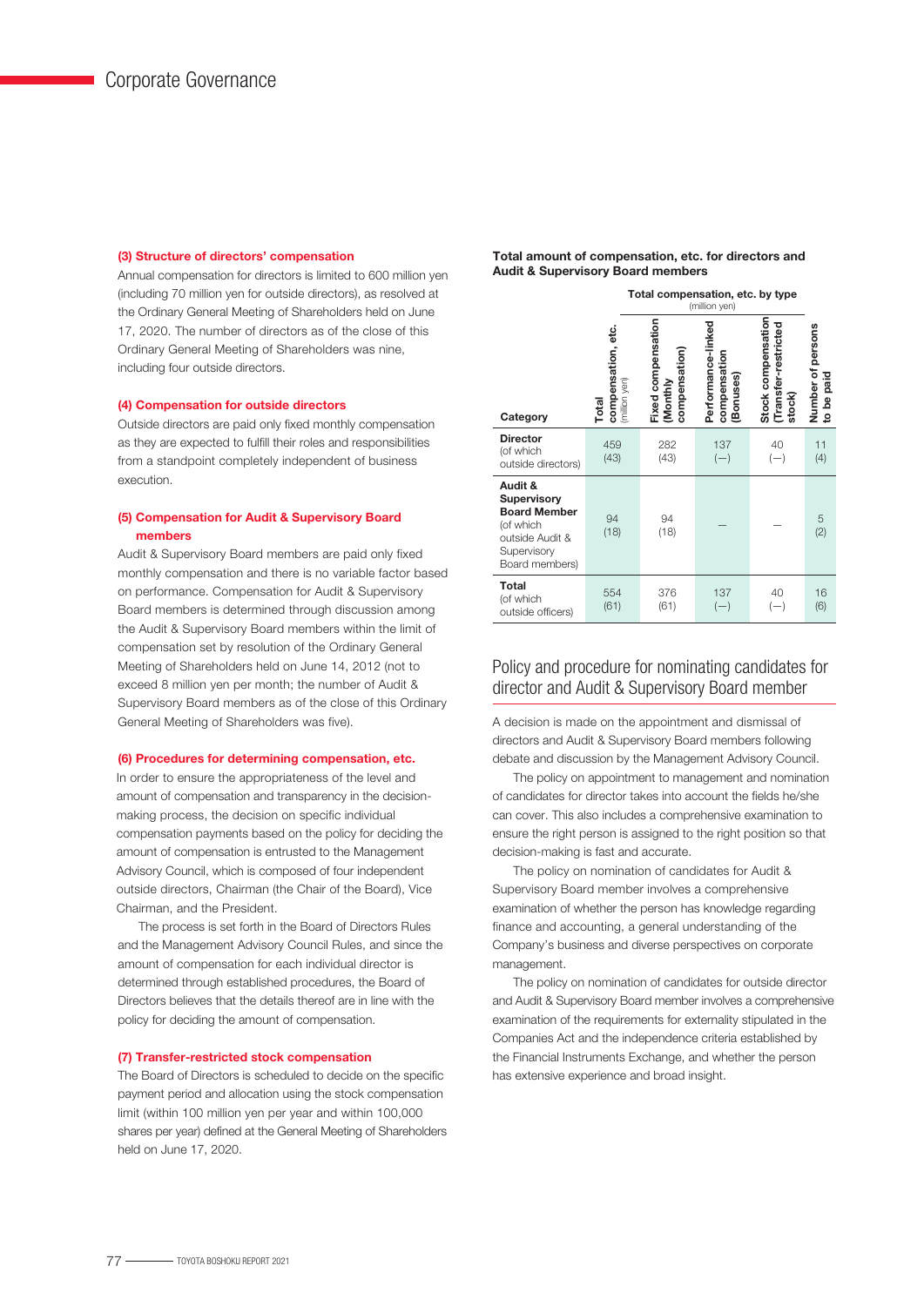#### (3) Structure of directors' compensation

Annual compensation for directors is limited to 600 million yen (including 70 million yen for outside directors), as resolved at the Ordinary General Meeting of Shareholders held on June 17, 2020. The number of directors as of the close of this Ordinary General Meeting of Shareholders was nine, including four outside directors.

#### (4) Compensation for outside directors

Outside directors are paid only fixed monthly compensation as they are expected to fulfill their roles and responsibilities from a standpoint completely independent of business execution.

# (5) Compensation for Audit & Supervisory Board members

Audit & Supervisory Board members are paid only fixed monthly compensation and there is no variable factor based on performance. Compensation for Audit & Supervisory Board members is determined through discussion among the Audit & Supervisory Board members within the limit of compensation set by resolution of the Ordinary General Meeting of Shareholders held on June 14, 2012 (not to exceed 8 million yen per month; the number of Audit & Supervisory Board members as of the close of this Ordinary General Meeting of Shareholders was five).

### (6) Procedures for determining compensation, etc.

In order to ensure the appropriateness of the level and amount of compensation and transparency in the decisionmaking process, the decision on specific individual compensation payments based on the policy for deciding the amount of compensation is entrusted to the Management Advisory Council, which is composed of four independent outside directors, Chairman (the Chair of the Board), Vice Chairman, and the President.

 The process is set forth in the Board of Directors Rules and the Management Advisory Council Rules, and since the amount of compensation for each individual director is determined through established procedures, the Board of Directors believes that the details thereof are in line with the policy for deciding the amount of compensation.

#### (7) Transfer-restricted stock compensation

The Board of Directors is scheduled to decide on the specific payment period and allocation using the stock compensation limit (within 100 million yen per year and within 100,000 shares per year) defined at the General Meeting of Shareholders held on June 17, 2020.

#### Total amount of compensation, etc. for directors and Audit & Supervisory Board members

|                                                                                                                       | Total compensation, etc. by type<br>(million yen) |                                                 |                                                |                                                     |                                                 |  |
|-----------------------------------------------------------------------------------------------------------------------|---------------------------------------------------|-------------------------------------------------|------------------------------------------------|-----------------------------------------------------|-------------------------------------------------|--|
| Category                                                                                                              | compensation, etc.<br>(million yen)<br>Total      | Fixed compensation<br>compensation)<br>(Monthly | Performance-linked<br>compensation<br>Bonuses) | Stock compensation<br>Transfer-restricted<br>stock) | Number of persons<br>paid<br>కి<br>$\mathbf{S}$ |  |
| <b>Director</b><br>(of which<br>outside directors)                                                                    | 459<br>(43)                                       | 282<br>(43)                                     | 137<br>$(-)$                                   | 40<br>$(-)$                                         | 11<br>(4)                                       |  |
| Audit &<br><b>Supervisory</b><br><b>Board Member</b><br>(of which<br>outside Audit &<br>Supervisory<br>Board members) | 94<br>(18)                                        | 94<br>(18)                                      |                                                |                                                     | 5<br>(2)                                        |  |
| <b>Total</b><br>(of which<br>outside officers)                                                                        | 554<br>(61)                                       | 376<br>(61)                                     | 137<br>$(-)$                                   | 40<br>$(-)$                                         | 16<br>(6)                                       |  |

# Policy and procedure for nominating candidates for director and Audit & Supervisory Board member

A decision is made on the appointment and dismissal of directors and Audit & Supervisory Board members following debate and discussion by the Management Advisory Council.

 The policy on appointment to management and nomination of candidates for director takes into account the fields he/she can cover. This also includes a comprehensive examination to ensure the right person is assigned to the right position so that decision-making is fast and accurate.

 The policy on nomination of candidates for Audit & Supervisory Board member involves a comprehensive examination of whether the person has knowledge regarding finance and accounting, a general understanding of the Company's business and diverse perspectives on corporate management.

 The policy on nomination of candidates for outside director and Audit & Supervisory Board member involves a comprehensive examination of the requirements for externality stipulated in the Companies Act and the independence criteria established by the Financial Instruments Exchange, and whether the person has extensive experience and broad insight.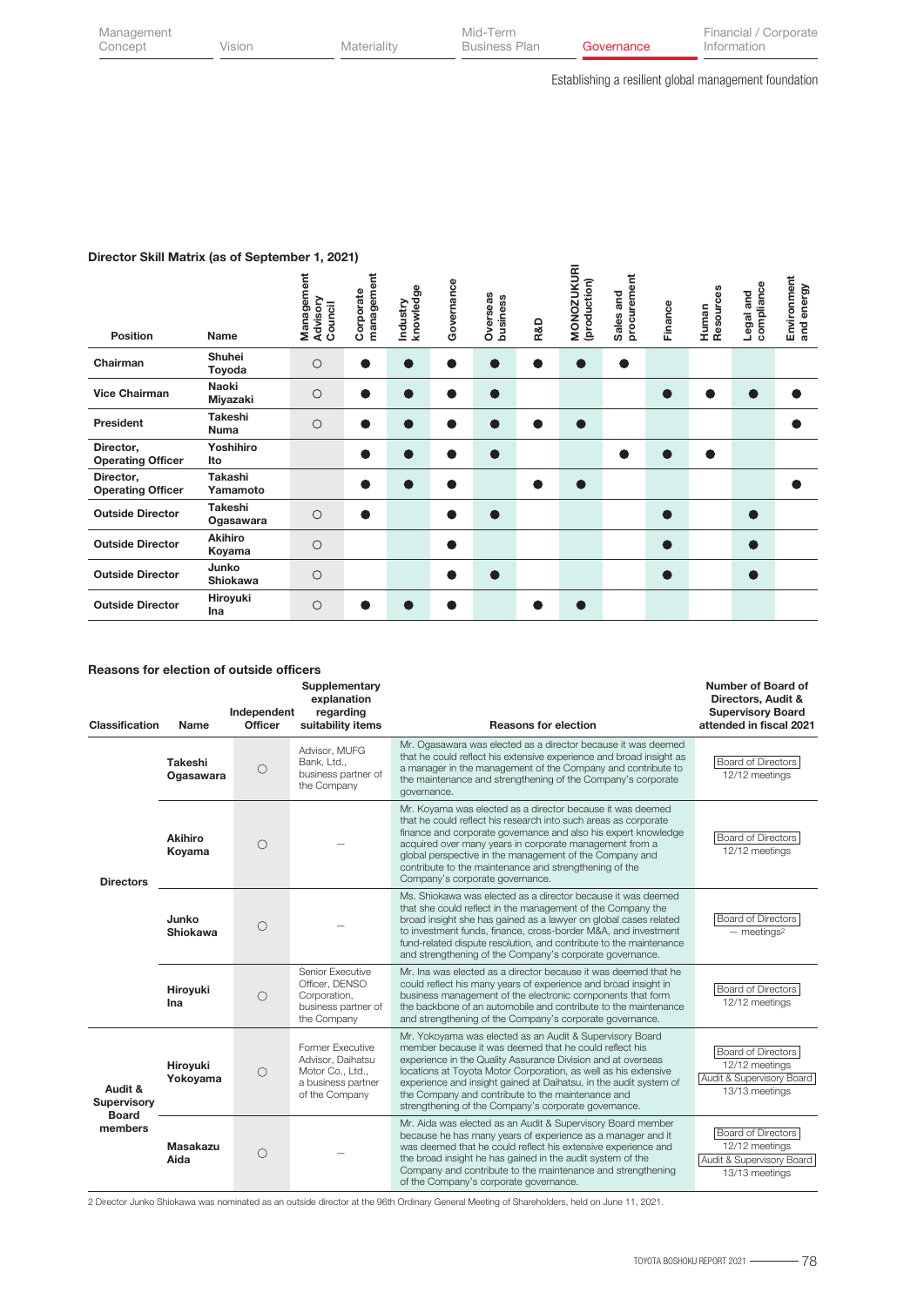| Management |  |
|------------|--|
| Concept    |  |

 $\overline{a}$ 

Establishing a resilient global management foundation

# Director Skill Matrix (as of September 1, 2021)

| <b>Position</b>                       | Name                       | Management<br>Advisory<br>Council | management<br>Corporate | knowledge<br>Industry | Governance | Overseas<br>business | R&D | <b>MONOZUKURI</b><br>(production) | procurement<br>and<br>Sales | Finance        | Resources<br>Human | compliance<br>Legal and | Environment<br>and energy |
|---------------------------------------|----------------------------|-----------------------------------|-------------------------|-----------------------|------------|----------------------|-----|-----------------------------------|-----------------------------|----------------|--------------------|-------------------------|---------------------------|
| Chairman                              | Shuhei<br>Toyoda           | $\circ$                           | $\bullet$               | $\bullet$             | o          | O                    |     | $\bullet$                         | $\bullet$                   |                |                    |                         |                           |
| <b>Vice Chairman</b>                  | <b>Naoki</b><br>Miyazaki   | $\circ$                           | $\bullet$               | ●                     |            | $\bullet$            |     |                                   |                             |                |                    |                         |                           |
| President                             | <b>Takeshi</b><br>Numa     | $\circ$                           |                         | r                     |            | Œ                    |     | $\bullet$                         |                             |                |                    |                         |                           |
| Director,<br><b>Operating Officer</b> | Yoshihiro<br>Ito           |                                   | $\bullet$               | $\bullet$             | o          | $\bullet$            |     |                                   |                             | $\blacksquare$ | $\bullet$          |                         |                           |
| Director,<br><b>Operating Officer</b> | <b>Takashi</b><br>Yamamoto |                                   | $\bullet$               | $\bullet$             |            |                      | D   | $\bullet$                         |                             |                |                    |                         |                           |
| <b>Outside Director</b>               | Takeshi<br>Ogasawara       | $\circ$                           |                         |                       |            | $\bullet$            |     |                                   |                             |                |                    |                         |                           |
| <b>Outside Director</b>               | <b>Akihiro</b><br>Koyama   | $\circ$                           |                         |                       |            |                      |     |                                   |                             | Ð              |                    |                         |                           |
| <b>Outside Director</b>               | Junko<br><b>Shiokawa</b>   | $\circ$                           |                         |                       |            | $\bullet$            |     |                                   |                             | $\bullet$      |                    |                         |                           |
| <b>Outside Director</b>               | Hiroyuki<br>Ina            | $\circ$                           | n.                      |                       |            |                      |     | Œ                                 |                             |                |                    |                         |                           |

# Reasons for election of outside officers

| <b>Classification</b>                                    | Name                     | Independent<br>Officer | Supplementary<br>explanation<br>regarding<br>suitability items                                    | <b>Reasons for election</b>                                                                                                                                                                                                                                                                                                                                                                                                             | Number of Board of<br>Directors, Audit &<br><b>Supervisory Board</b><br>attended in fiscal 2021 |
|----------------------------------------------------------|--------------------------|------------------------|---------------------------------------------------------------------------------------------------|-----------------------------------------------------------------------------------------------------------------------------------------------------------------------------------------------------------------------------------------------------------------------------------------------------------------------------------------------------------------------------------------------------------------------------------------|-------------------------------------------------------------------------------------------------|
|                                                          | Takeshi<br>Ogasawara     | $\bigcirc$             | Advisor, MUFG<br>Bank, Ltd.,<br>business partner of<br>the Company                                | Mr. Ogasawara was elected as a director because it was deemed<br>that he could reflect his extensive experience and broad insight as<br>a manager in the management of the Company and contribute to<br>the maintenance and strengthening of the Company's corporate<br>governance.                                                                                                                                                     | <b>Board of Directors</b><br>12/12 meetings                                                     |
| <b>Directors</b>                                         | <b>Akihiro</b><br>Koyama | $\bigcirc$             |                                                                                                   | Mr. Koyama was elected as a director because it was deemed<br>that he could reflect his research into such areas as corporate<br>finance and corporate governance and also his expert knowledge<br>acquired over many years in corporate management from a<br>global perspective in the management of the Company and<br>contribute to the maintenance and strengthening of the<br>Company's corporate governance.                      | <b>Board of Directors</b><br>12/12 meetings                                                     |
|                                                          | Junko<br><b>Shiokawa</b> | О                      |                                                                                                   | Ms. Shiokawa was elected as a director because it was deemed<br>that she could reflect in the management of the Company the<br>broad insight she has gained as a lawyer on global cases related<br>to investment funds, finance, cross-border M&A, and investment<br>fund-related dispute resolution, and contribute to the maintenance<br>and strengthening of the Company's corporate governance.                                     | Board of Directors<br>$-$ meetings <sup>2</sup>                                                 |
|                                                          | Hiroyuki<br>Ina          | $\bigcirc$             | Senior Executive<br>Officer, DENSO<br>Corporation,<br>business partner of<br>the Company          | Mr. Ina was elected as a director because it was deemed that he<br>could reflect his many years of experience and broad insight in<br>business management of the electronic components that form<br>the backbone of an automobile and contribute to the maintenance<br>and strengthening of the Company's corporate governance.                                                                                                         | <b>Board of Directors</b><br>12/12 meetings                                                     |
| Audit &<br><b>Supervisory</b><br><b>Board</b><br>members | Hiroyuki<br>Yokoyama     | $\bigcirc$             | Former Executive<br>Advisor, Daihatsu<br>Motor Co., Ltd.,<br>a business partner<br>of the Company | Mr. Yokoyama was elected as an Audit & Supervisory Board<br>member because it was deemed that he could reflect his<br>experience in the Quality Assurance Division and at overseas<br>locations at Toyota Motor Corporation, as well as his extensive<br>experience and insight gained at Daihatsu, in the audit system of<br>the Company and contribute to the maintenance and<br>strengthening of the Company's corporate governance. | <b>Board of Directors</b><br>12/12 meetings<br>Audit & Supervisory Board<br>13/13 meetings      |
|                                                          | Masakazu<br>Aida         | $\bigcirc$             |                                                                                                   | Mr. Aida was elected as an Audit & Supervisory Board member<br>because he has many years of experience as a manager and it<br>was deemed that he could reflect his extensive experience and<br>the broad insight he has gained in the audit system of the<br>Company and contribute to the maintenance and strengthening<br>of the Company's corporate governance.                                                                      | <b>Board of Directors</b><br>12/12 meetings<br>Audit & Supervisory Board<br>13/13 meetings      |

2 Director Junko Shiokawa was nominated as an outside director at the 96th Ordinary General Meeting of Shareholders, held on June 11, 2021.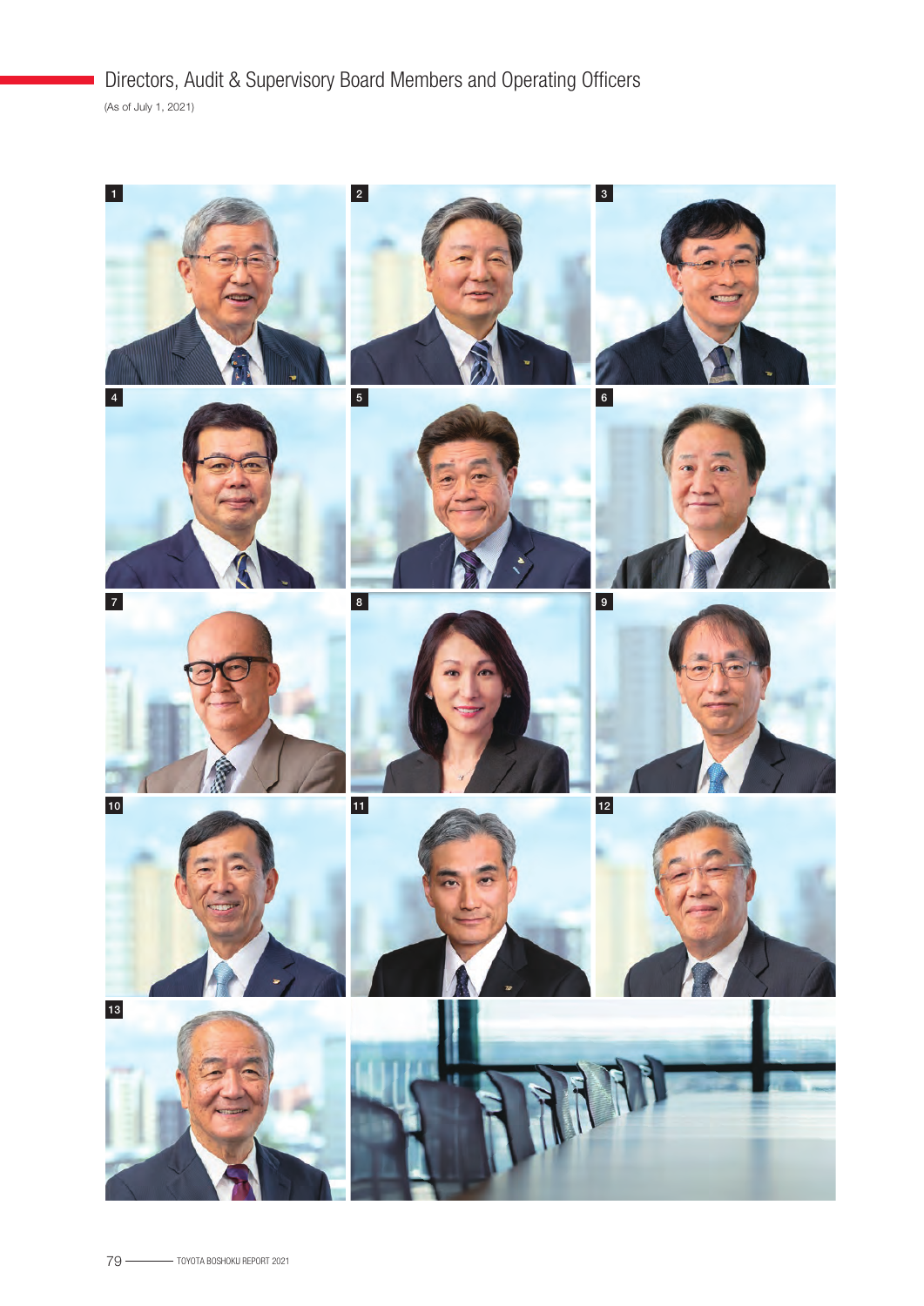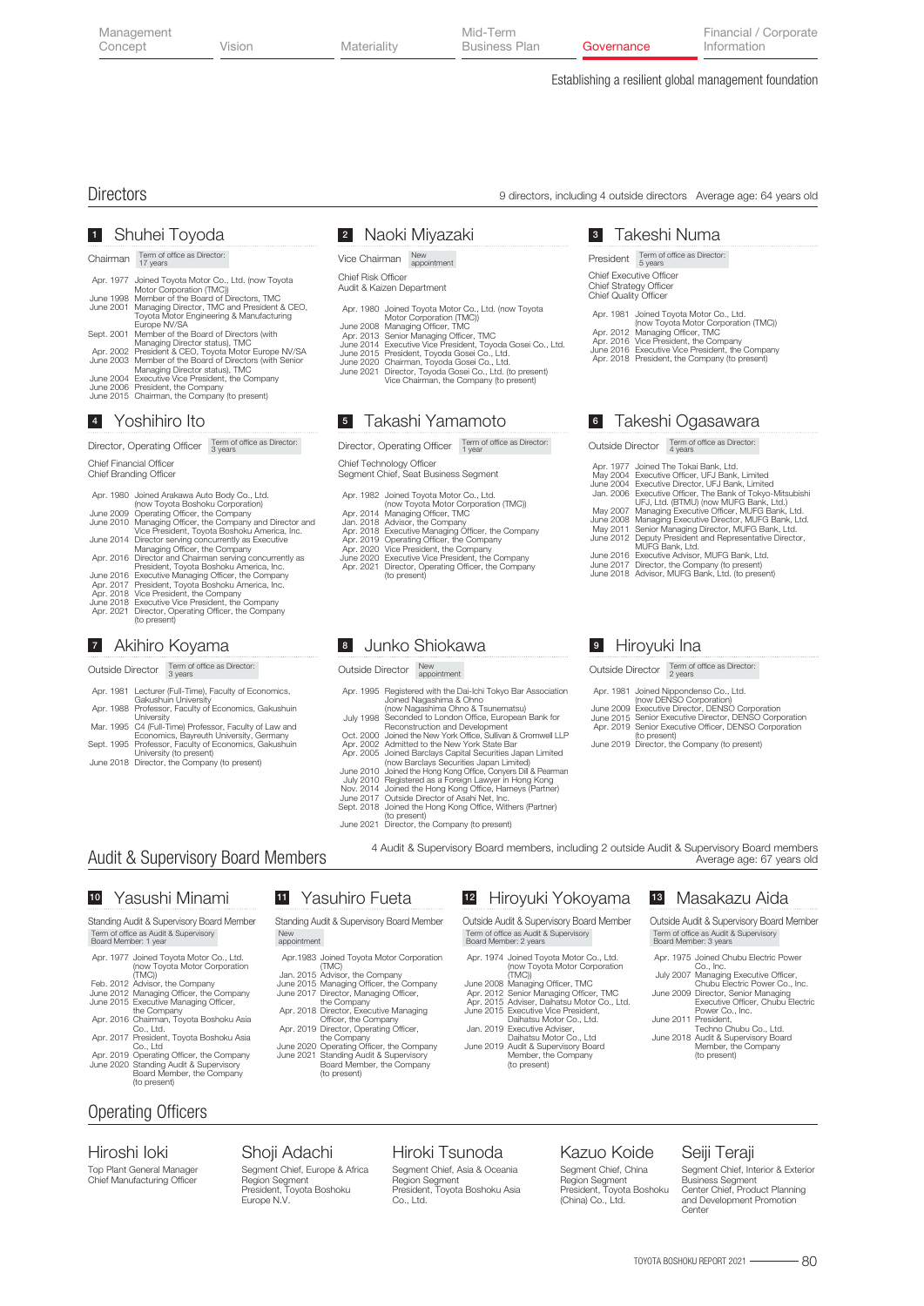| Management<br>Concept | Vision | Materiality | Mid-Term<br>Business Plan | Governance | Financial / Corporate<br>Information |
|-----------------------|--------|-------------|---------------------------|------------|--------------------------------------|
|                       |        |             |                           |            |                                      |

Establishing a resilient global management foundation

Takeshi Numa 3 President Term of office as Director: 5 years

Chief Executive Officer Chief Strategy Officer Chief Quality Officer

Apr. 1981 Joined Toyota Motor Co., Ltd.

June 2016 Apr. 2018 Executive Vice President, the Company President, the Company (to present) (now Toyota Motor Corporation (TMC)) Managing Officer, TMC Vice President, the Company

Takeshi Ogasawara 6 Outside Director Term of office as Director

Joined The Tokai Bank, Ltd.<br>Executive Officer, UFJ Bank, Limited<br>Executive Officer, The Bank, Limited<br>Executive Officer, The Bank of Tokyo-Mitsubishi<br>UFJ, Ltd. (BTMU) (now MUFG Bank, Ltd.)

Managing Executive Officer, MUFG Bank, Ltd. Managing Executive Director, MUFG Bank, Ltd. Senior Managing Director, MUFG Bank, Ltd. Deputy President and Representative Director,

MUFG Bank, Ltd. Executive Advisor, MUFG Bank, Ltd. Director, the Company (to present) Advisor, MUFG Bank, Ltd. (to present)

Apr. 2012 Apr. 2016

Apr. 1977 May 2004 June 2004 Jan. 2006

May 2007 June 2008 May 2011 June 2012

June 2016 June 2017 June 2018

# Directors 9 directors, including 4 outside directors Average age: 64 years old

# Shuhei Toyoda 1

Chairman Term of office as Director:

|            | Apr. 1977 Joined Toyota Motor Co., Ltd. (now Toyota<br>Motor Corporation (TMC))                         |
|------------|---------------------------------------------------------------------------------------------------------|
| June 1998  | Member of the Board of Directors, TMC                                                                   |
| June 2001  | Managing Director, TMC and President & CEO.<br>Tovota Motor Engineering & Manufacturing<br>Europe NV/SA |
| Sept. 2001 | Member of the Board of Directors (with<br>Managing Director status), TMC                                |
|            | Apr. 2002 President & CEO, Toyota Motor Europe NV/SA                                                    |
|            | June 2003 Member of the Board of Directors (with Senior                                                 |
|            | Managing Director status), TMC                                                                          |
|            | June 2004 Executive Vice President, the Company                                                         |
|            | June 2006 President, the Company                                                                        |
|            | June 2015 Chairman, the Company (to present)                                                            |
|            |                                                                                                         |

# Yoshihiro Ito 4

Director, Operating Officer Term of office as Director:

Chief Financial Officer

| Chief Branding Officer |  |
|------------------------|--|
|------------------------|--|

| Apr. 1980 Joined Arakawa Auto Body Co., Ltd.             |
|----------------------------------------------------------|
| (now Toyota Boshoku Corporation)                         |
| June 2009 Operating Officer, the Company                 |
| June 2010 Managing Officer, the Company and Director and |
| Vice President, Toyota Boshoku America, Inc.             |
| June 2014 Director serving concurrently as Executive     |
| Managing Officer, the Company                            |
| Apr. 2016 Director and Chairman serving concurrently as  |
| President, Toyota Boshoku America, Inc.                  |
| June 2016 Executive Managing Officer, the Company        |
| Apr. 2017 President, Toyota Boshoku America, Inc.        |
| Apr. 2018 Vice President, the Company                    |
| June 2018 Executive Vice President, the Company          |
| Apr. 2021 Director, Operating Officer, the Company       |
| (to present)                                             |
|                                                          |

# Akihiro Koyama 7

Outside Director Term of office as Director:

- Apr. 1981 Lecturer (Full-Time), Faculty of Economics,
- Apr. 1988 Gakushuin University Professor, Faculty of Economics, Gakushuin
- Mar. 1995 University C4 (Full-Time) Professor, Faculty of Law and Economics, Bayreuth University, Germany Professor, Faculty of Economics, Gakushuin
- Sept. 1995
- June 2018 University (to present) Director, the Company (to present)

# Naoki Miyazaki 2

Chief Risk Officer Vice Chairman New

Audit & Kaizen Department

- Apr. 1980 Joined Toyota Motor Co., Ltd. (now Toyota Motor Corporation (TMC)) Managing Officer, TMC Senior Managing Officer, TMC Executive Vice President, Toyoda Gosei Co., Ltd.
- 
- June 2008 Apr. 2013 June 2014
- 
- June 2015 June 2020 President, Toyoda Gosei Co., Ltd. Chairman, Toyoda Gosei Co., Ltd.
	-
- June 2021 Director, Toyoda Gosei Co., Ltd. (to present) Vice Chairman, the Company (to present)

# Takashi Yamamoto 5

Director, Operating Officer Term of office as Director:

Chief Technology Officer Segment Chief, Seat Business Segment

- Apr. 1982
- 
- 
- 
- 
- 
- Apr. 2014 Jan. 2018 Apr. 2018 Apr. 2019 Apr. 2020 June 2020 Apr. 2021 Joined Toyota Motor Co., Ltd.<br>(now Toyota Motor Corporation (TMC))<br>Managing Officer, TMC<br>Advisor, the Company<br>Executive Managing Officer, the Company<br>Operating Officer, the Company<br>Vice President, the Company<br>Executive Vic (to present)

# Junko Shiokawa 8

#### Outside Director New

**11** Yasuhiro Fueta Standing Audit & Supervisory Board Member

Apr. 2019 Officer, the Company Director, Operating Officer,

(to present)

Joined Toyota Motor Corporation (TMC) Advisor, the Company Managing Officer, the Company Director, Managing Officer, the Company Director, Executive Managing

the Company Operating Officer, the Company Standing Audit & Supervisory Board Member, the Company

- Apr. 1995 Registered with the Dai-Ichi Tokyo Bar Association
- July 1998 Joined Nagashima Ohno & Tsunematsu)<br>Joined Nagashima Ohno & Tsunematsu)<br>Seconded to London Office, European Bank for<br>Reconstruction and Development<br>Joined the New York Office, Sullivan & Cromwell LLP<br>Admitted to the New Yo
- 
- Oct. 2000 Apr. 2002 Apr. 2005
- 
- 
- June 2010
- Registered as a Foreign Lawyer in Hong Kong Joined the Hong Kong Office, Harneys (Partner) Outside Director of Asahi Net, Inc. Joined the Hong Kong Office, Withers (Partner)
- July 2010 Nov. 2014 June 2017 Sept. 2018
- 

Apr. 1974

June 2008 Apr. 2012 Apr. 2015 June 2015

June 2021 (to present) Director, the Company (to present)

# Audit & Supervisory Board Members

# 10 Yasushi Minami 11

# Standing Audit & Supervisory Board Member Term of office as Audit & Supervisory Board Member: 1 year

- Apr. 1977 Joined Toyota Motor Co., Ltd. (now Toyota Motor Corporation (TMC)) Advisor, the Company
- Feb. 2012 June 2012 June 2015 Managing Officer, the Company Executive Managing Officer,
- Apr. 2016 Chairman, Toyota Boshoku Asia Co., Ltd. the Company
- Apr. 2017 President, Toyota Boshoku Asia
- Apr. 2019 Co., Ltd Operating Officer, the Company June 2020 Standing Audit & Supervisory Board Member, the Company (to present)

# Operating Officers

Top Plant General Manager Chief Manufacturing Officer Hiroshi Ioki

# Shoji Adachi

# Segment Chief, Europe & Africa Region Segment President, Toyota Boshoku Europe N.V.

Apr.1983 Jan. 2015 June 2015 June 2017 Apr. 2018

New appointment

June 2020 June 2021

# Hiroki Tsunoda

Segment Chief, Asia & Oceania Region Segment President, Toyota Boshoku Asia Co., Ltd.

#### Kazuo Koide

Segment Chief, China Region Segment President, Toyota Boshoku (China) Co., Ltd.

# Seiji Teraji

Segment Chief, Interior & Exterior Business Segment Center Chief, Product Planning and Development Promotion Center

Apr. 1981 Joined Nippondenso Co., Ltd.

Outside Director Term of office as Director:

Hiroyuki Ina 9

- June 2009 June 2015 Apr. 2019 (now DENSO Corporation) Executive Director, DENSO Corporation Senior Executive Director, DENSO Corporation Senior Executive Officer, DENSO Corporation
- 
- June 2019 (to present) Director, the Company (to present)

4 Audit & Supervisory Board members, including 2 outside Audit & Supervisory Board members Average age: 67 years old

> 12 Hiroyuki Yokoyama Outside Audit & Supervisory Board Member

> > Joined Toyota Motor Co., Ltd. (now Toyota Motor Corporation (TMC)) Managing Officer, TMC Senior Managing Officer, TMC Adviser, Daihatsu Motor Co., Ltd. Executive Vice President,

Jan. 2019 Daihatsu Motor Co., Ltd. Executive Adviser, June 2019 Audit & Supervisory Board Member, the Company

Term of office as Audit & Supervisory Board Member: 2 years

(to present)

Daihatsu Motor Co., Ltd.

Masakazu Aida 13 Outside Audit & Supervisory Board Member

Term of office as Audit & Supervisory Board Member: 3 years

Apr. 1975 Joined Chubu Electric Power

July 2007 June 2009 Co., Inc. Managing Executive Officer, Chubu Electric Power Co., Inc. Director, Senior Managing Executive Officer, Chubu Electric Power Co., Inc.

June 2011 President, Techno Chubu Co., Ltd.

June 2018 Audit & Supervisory Board Member, the Company (to present)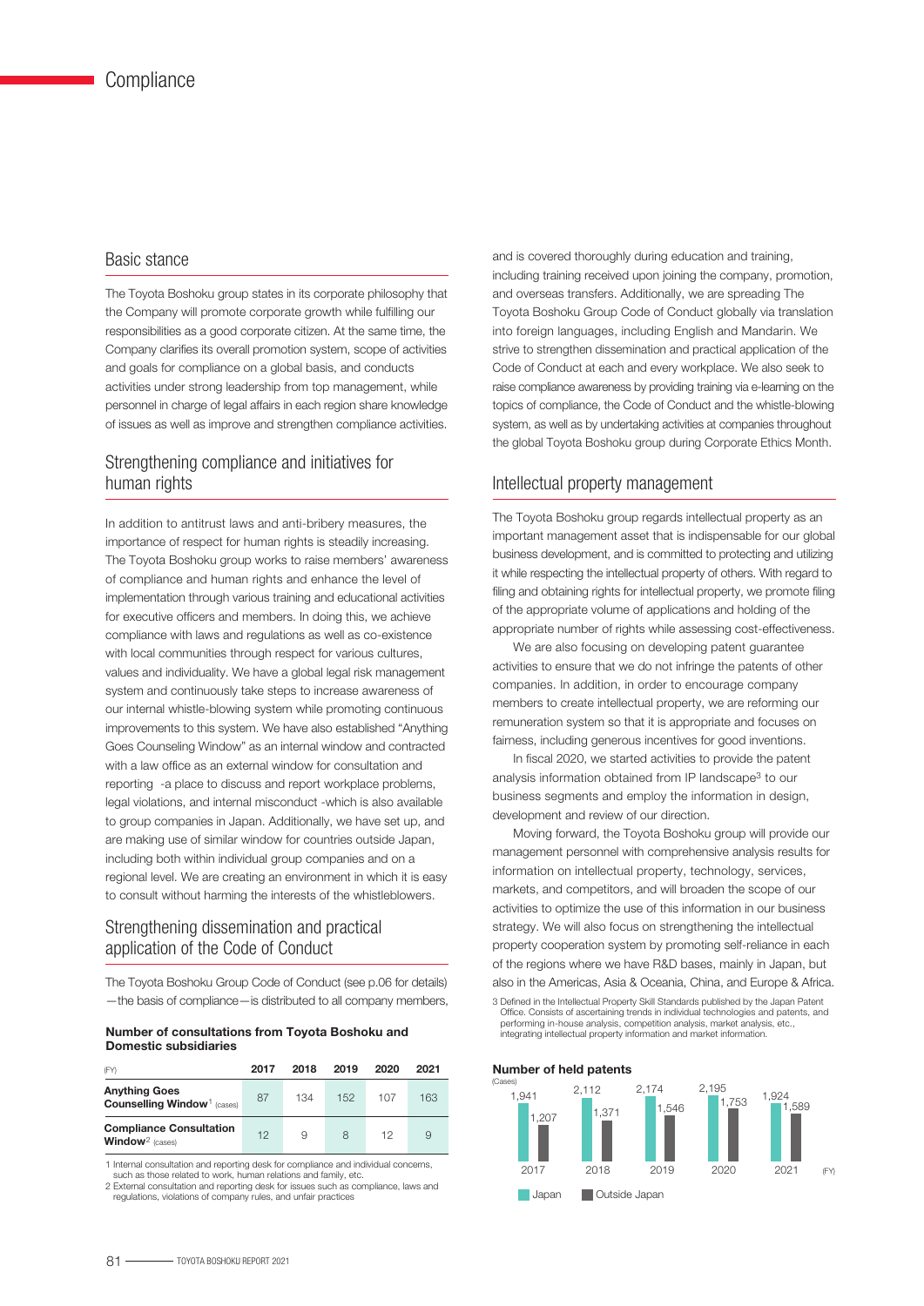# Basic stance

The Toyota Boshoku group states in its corporate philosophy that the Company will promote corporate growth while fulfilling our responsibilities as a good corporate citizen. At the same time, the Company clarifies its overall promotion system, scope of activities and goals for compliance on a global basis, and conducts activities under strong leadership from top management, while personnel in charge of legal affairs in each region share knowledge of issues as well as improve and strengthen compliance activities.

# Strengthening compliance and initiatives for human rights

In addition to antitrust laws and anti-bribery measures, the importance of respect for human rights is steadily increasing. The Toyota Boshoku group works to raise members' awareness of compliance and human rights and enhance the level of implementation through various training and educational activities for executive officers and members. In doing this, we achieve compliance with laws and regulations as well as co-existence with local communities through respect for various cultures, values and individuality. We have a global legal risk management system and continuously take steps to increase awareness of our internal whistle-blowing system while promoting continuous improvements to this system. We have also established "Anything Goes Counseling Window" as an internal window and contracted with a law office as an external window for consultation and reporting -a place to discuss and report workplace problems, legal violations, and internal misconduct -which is also available to group companies in Japan. Additionally, we have set up, and are making use of similar window for countries outside Japan, including both within individual group companies and on a regional level. We are creating an environment in which it is easy to consult without harming the interests of the whistleblowers.

# Strengthening dissemination and practical application of the Code of Conduct

The Toyota Boshoku Group Code of Conduct (see p.06 for details) —the basis of compliance—is distributed to all company members,

#### Number of consultations from Toyota Boshoku and Domestic subsidiaries

| (FY)                                                                   | 2017 | 2018 | 2019 | 2020 | 2021 |
|------------------------------------------------------------------------|------|------|------|------|------|
| <b>Anything Goes</b><br><b>Counselling Window</b> <sup>1</sup> (cases) | 87   | 134  | 152  | 107  | 163  |
| <b>Compliance Consultation</b><br>Window <sup>2</sup> (cases)          | 12   | 9    | 8    | 12   |      |

1 Internal consultation and reporting desk for compliance and individual concerns, such as those related to work, human relations and family, et

2 External consultation and reporting desk for issues such as compliance, laws and regulations, violations of company rules, and unfair practices

and is covered thoroughly during education and training, including training received upon joining the company, promotion, and overseas transfers. Additionally, we are spreading The Toyota Boshoku Group Code of Conduct globally via translation into foreign languages, including English and Mandarin. We strive to strengthen dissemination and practical application of the Code of Conduct at each and every workplace. We also seek to raise compliance awareness by providing training via e-learning on the topics of compliance, the Code of Conduct and the whistle-blowing system, as well as by undertaking activities at companies throughout the global Toyota Boshoku group during Corporate Ethics Month.

# Intellectual property management

The Toyota Boshoku group regards intellectual property as an important management asset that is indispensable for our global business development, and is committed to protecting and utilizing it while respecting the intellectual property of others. With regard to filing and obtaining rights for intellectual property, we promote filing of the appropriate volume of applications and holding of the appropriate number of rights while assessing cost-effectiveness.

 We are also focusing on developing patent guarantee activities to ensure that we do not infringe the patents of other companies. In addition, in order to encourage company members to create intellectual property, we are reforming our remuneration system so that it is appropriate and focuses on fairness, including generous incentives for good inventions.

 In fiscal 2020, we started activities to provide the patent analysis information obtained from IP landscape3 to our business segments and employ the information in design, development and review of our direction.

 Moving forward, the Toyota Boshoku group will provide our management personnel with comprehensive analysis results for information on intellectual property, technology, services, markets, and competitors, and will broaden the scope of our activities to optimize the use of this information in our business strategy. We will also focus on strengthening the intellectual property cooperation system by promoting self-reliance in each of the regions where we have R&D bases, mainly in Japan, but also in the Americas, Asia & Oceania, China, and Europe & Africa.

3 Defined in the Intellectual Property Skill Standards published by the Japan Patent Office. Consists of ascertaining trends in individual technologies and patents, and performing in-house analysis, competition analysis, market analysis, etc., integrating intellectual property information and market information.

#### Number of held patents 2021 (Cases) (FY) 2,195 1,753 **Japan Dutside Japan** 1,924 1,589 2020 2,174 1,546 2019 2,112 1,371  $2019$ 1,941 1,207  $2017$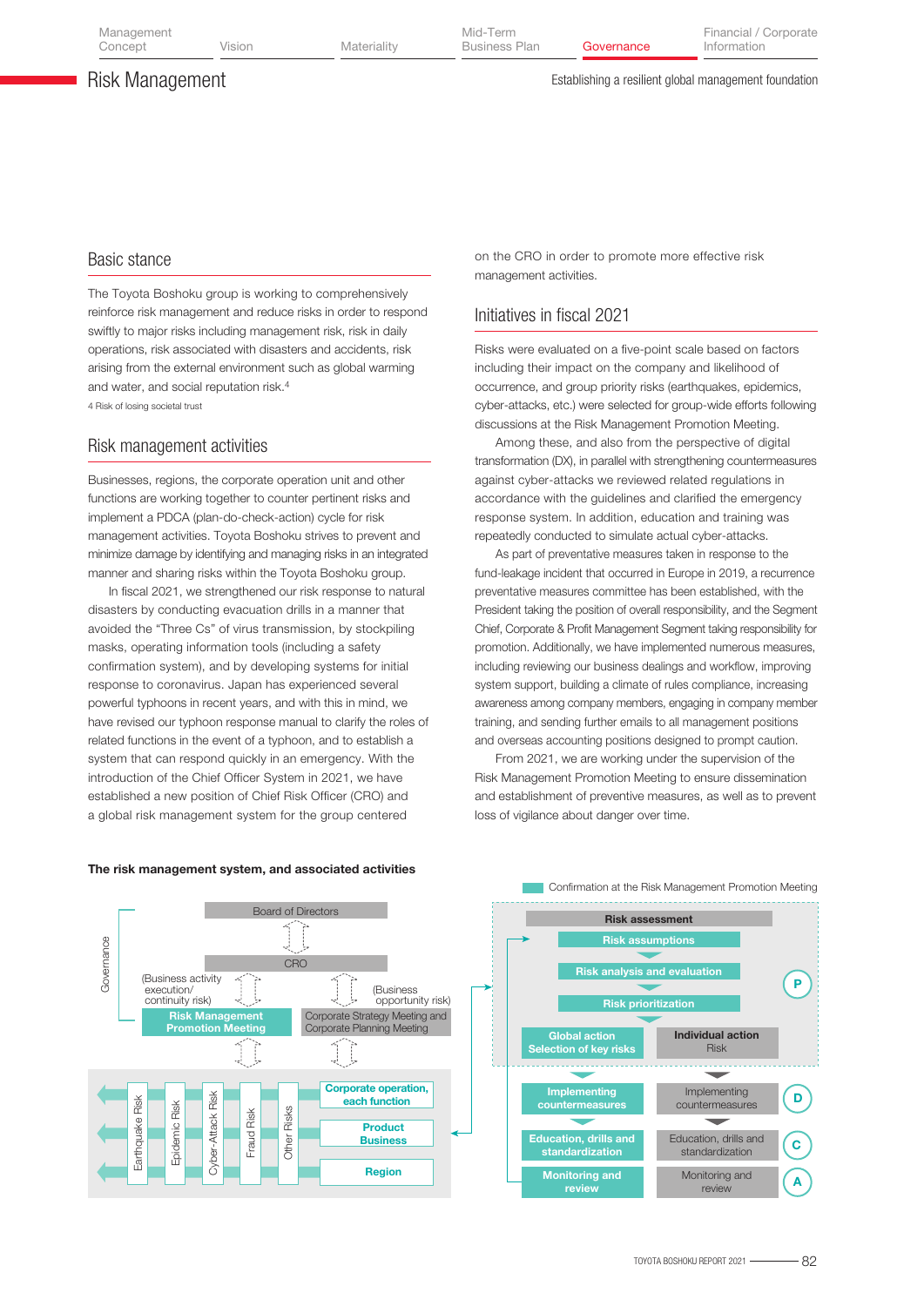Vision Materiality Business Plan

# Risk Management

#### Establishing a resilient global management foundation

# Basic stance

The Toyota Boshoku group is working to comprehensively reinforce risk management and reduce risks in order to respond swiftly to major risks including management risk, risk in daily operations, risk associated with disasters and accidents, risk arising from the external environment such as global warming and water, and social reputation risk.4 4 Risk of losing societal trust

# Risk management activities

Businesses, regions, the corporate operation unit and other functions are working together to counter pertinent risks and implement a PDCA (plan-do-check-action) cycle for risk management activities. Toyota Boshoku strives to prevent and minimize damage by identifying and managing risks in an integrated manner and sharing risks within the Toyota Boshoku group.

 In fiscal 2021, we strengthened our risk response to natural disasters by conducting evacuation drills in a manner that avoided the "Three Cs" of virus transmission, by stockpiling masks, operating information tools (including a safety confirmation system), and by developing systems for initial response to coronavirus. Japan has experienced several powerful typhoons in recent years, and with this in mind, we have revised our typhoon response manual to clarify the roles of related functions in the event of a typhoon, and to establish a system that can respond quickly in an emergency. With the introduction of the Chief Officer System in 2021, we have established a new position of Chief Risk Officer (CRO) and a global risk management system for the group centered

on the CRO in order to promote more effective risk management activities.

# Initiatives in fiscal 2021

Risks were evaluated on a five-point scale based on factors including their impact on the company and likelihood of occurrence, and group priority risks (earthquakes, epidemics, cyber-attacks, etc.) were selected for group-wide efforts following discussions at the Risk Management Promotion Meeting.

 Among these, and also from the perspective of digital transformation (DX), in parallel with strengthening countermeasures against cyber-attacks we reviewed related regulations in accordance with the guidelines and clarified the emergency response system. In addition, education and training was repeatedly conducted to simulate actual cyber-attacks.

 As part of preventative measures taken in response to the fund-leakage incident that occurred in Europe in 2019, a recurrence preventative measures committee has been established, with the President taking the position of overall responsibility, and the Segment Chief, Corporate & Profit Management Segment taking responsibility for promotion. Additionally, we have implemented numerous measures, including reviewing our business dealings and workflow, improving system support, building a climate of rules compliance, increasing awareness among company members, engaging in company member training, and sending further emails to all management positions and overseas accounting positions designed to prompt caution.

 From 2021, we are working under the supervision of the Risk Management Promotion Meeting to ensure dissemination and establishment of preventive measures, as well as to prevent loss of vigilance about danger over time.



#### The risk management system, and associated activities

Confirmation at the Risk Management Promotion Meeting